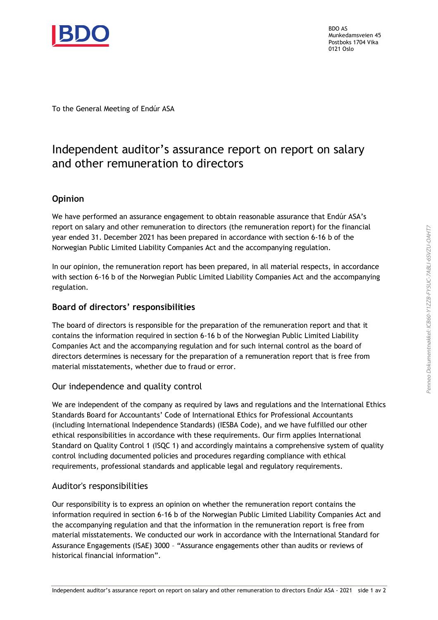

BDO AS Munkedamsveien 45 Postboks 1704 Vika 0121 Oslo

To the General Meeting of Endúr ASA

## Independent auditor's assurance report on report on salary and other remuneration to directors

### **Opinion**

We have performed an assurance engagement to obtain reasonable assurance that Endúr ASA's report on salary and other remuneration to directors (the remuneration report) for the financial year ended 31. December 2021 has been prepared in accordance with section 6-16 b of the Norwegian Public Limited Liability Companies Act and the accompanying regulation.

In our opinion, the remuneration report has been prepared, in all material respects, in accordance with section 6-16 b of the Norwegian Public Limited Liability Companies Act and the accompanying regulation.

#### Board of directors' responsibilities

The board of directors is responsible for the preparation of the remuneration report and that it contains the information required in section 6-16 b of the Norwegian Public Limited Liability Companies Act and the accompanying regulation and for such internal control as the board of directors determines is necessary for the preparation of a remuneration report that is free from material misstatements, whether due to fraud or error.

#### Our independence and quality control

We are independent of the company as required by laws and regulations and the International Ethics Standards Board for Accountants' Code of International Ethics for Professional Accountants (including International Independence Standards) (IESBA Code), and we have fulfilled our other ethical responsibilities in accordance with these requirements. Our firm applies International Standard on Quality Control 1 (ISQC 1) and accordingly maintains a comprehensive system of quality control including documented policies and procedures regarding compliance with ethical requirements, professional standards and applicable legal and regulatory requirements.

#### Auditor's responsibilities

Our responsibility is to express an opinion on whether the remuneration report contains the information required in section 6-16 b of the Norwegian Public Limited Liability Companies Act and the accompanying regulation and that the information in the remuneration report is free from material misstatements. We conducted our work in accordance with the International Standard for Assurance Engagements (ISAE) 3000 – "Assurance engagements other than audits or reviews of historical financial information".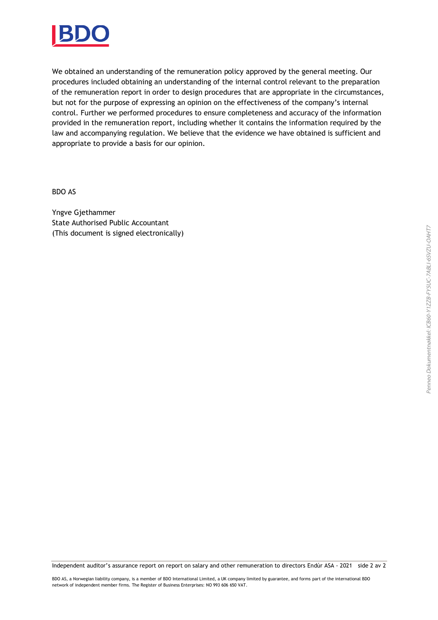

We obtained an understanding of the remuneration policy approved by the general meeting. Our procedures included obtaining an understanding of the internal control relevant to the preparation of the remuneration report in order to design procedures that are appropriate in the circumstances, but not for the purpose of expressing an opinion on the effectiveness of the company's internal control. Further we performed procedures to ensure completeness and accuracy of the information provided in the remuneration report, including whether it contains the information required by the law and accompanying regulation. We believe that the evidence we have obtained is sufficient and appropriate to provide a basis for our opinion.

BDO AS

Yngve Gjethammer State Authorised Public Accountant (This document is signed electronically)

Independent auditor's assurance report on report on salary and other remuneration to directors Endúr ASA - 2021 side 2 av 2